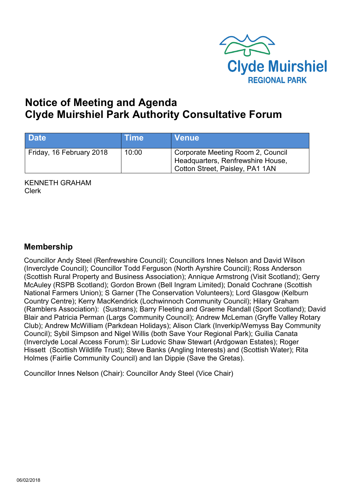

# **Notice of Meeting and Agenda Clyde Muirshiel Park Authority Consultative Forum**

| <b>Date</b>              | <b>Time</b> | <b>Venue</b>                                                                                              |
|--------------------------|-------------|-----------------------------------------------------------------------------------------------------------|
| Friday, 16 February 2018 | 10:00       | Corporate Meeting Room 2, Council<br>Headquarters, Renfrewshire House,<br>Cotton Street, Paisley, PA1 1AN |

KENNETH GRAHAM Clerk

## **Membership**

Councillor Andy Steel (Renfrewshire Council); Councillors Innes Nelson and David Wilson (Inverclyde Council); Councillor Todd Ferguson (North Ayrshire Council); Ross Anderson (Scottish Rural Property and Business Association); Annique Armstrong (Visit Scotland); Gerry McAuley (RSPB Scotland); Gordon Brown (Bell Ingram Limited); Donald Cochrane (Scottish National Farmers Union); S Garner (The Conservation Volunteers); Lord Glasgow (Kelburn Country Centre); Kerry MacKendrick (Lochwinnoch Community Council); Hilary Graham (Ramblers Association): (Sustrans); Barry Fleeting and Graeme Randall (Sport Scotland); David Blair and Patricia Perman (Largs Community Council); Andrew McLeman (Gryffe Valley Rotary Club); Andrew McWilliam (Parkdean Holidays); Alison Clark (Inverkip/Wemyss Bay Community Council); Sybil Simpson and Nigel Willis (both Save Your Regional Park); Guilia Canata (Inverclyde Local Access Forum); Sir Ludovic Shaw Stewart (Ardgowan Estates); Roger Hissett (Scottish Wildlife Trust); Steve Banks (Angling Interests) and (Scottish Water); Rita Holmes (Fairlie Community Council) and Ian Dippie (Save the Gretas).

Councillor Innes Nelson (Chair): Councillor Andy Steel (Vice Chair)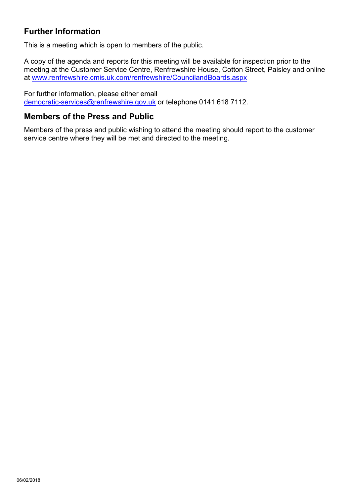## **Further Information**

This is a meeting which is open to members of the public.

A copy of the agenda and reports for this meeting will be available for inspection prior to the meeting at the Customer Service Centre, Renfrewshire House, Cotton Street, Paisley and online at [www.renfrewshire.cmis.uk.com/renfrewshire/CouncilandBoards.aspx](http://www.renfrewshire.cmis.uk.com/renfrewshire/CouncilandBoards.aspx)

For further information, please either email [democratic-services@renfrewshire.gov.uk](mailto:democratic-services@renfrewshire.gov.uk) or telephone 0141 618 7112.

## **Members of the Press and Public**

Members of the press and public wishing to attend the meeting should report to the customer service centre where they will be met and directed to the meeting.